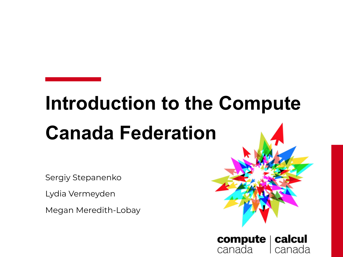# **Introduction to the Compute Canada Federation**

compute |

canada

calcul

canada

Sergiy Stepanenko

Lydia Vermeyden

Megan Meredith-Lobay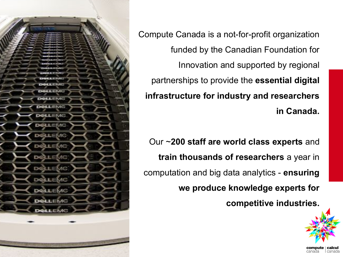

Compute Canada is a not-for-profit organization funded by the Canadian Foundation for Innovation and supported by regional partnerships to provide the **essential digital infrastructure for industry and researchers in Canada.**

Our ~**200 staff are world class experts** and **train thousands of researchers** a year in computation and big data analytics - **ensuring we produce knowledge experts for competitive industries.**



l canada

canada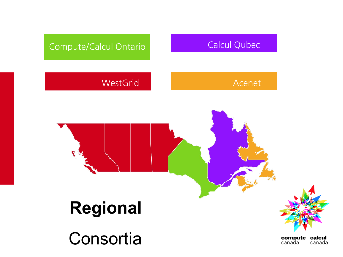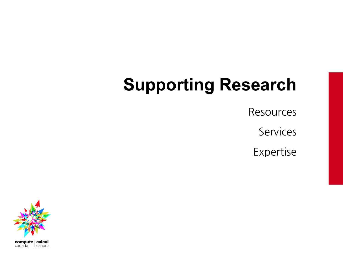# **Supporting Research**

**Resources** 

Services

Expertise

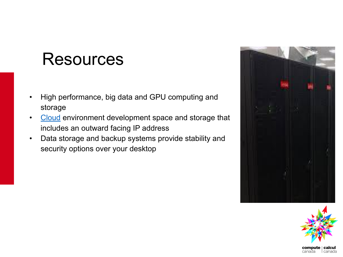#### Resources

- High performance, big data and GPU computing and storage
- [Cloud](https://www.computecanada.ca/research-portal/national-services/compute-canada-cloud/) environment development space and storage that includes an outward facing IP address
- Data storage and backup systems provide stability and security options over your desktop





l canada

canada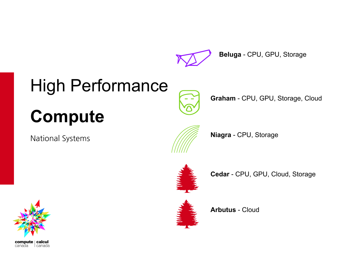

**Beluga** - CPU, GPU, Storage

# High Performance



**Graham** - CPU, GPU, Storage, Cloud

# **Compute**

**National Systems** 







**Cedar** - CPU, GPU, Cloud, Storage





**Arbutus** - Cloud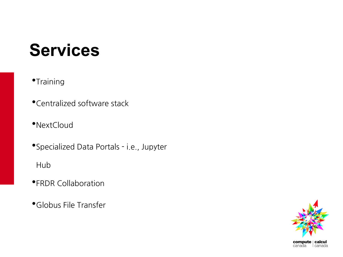#### **Services**

•Training

•Centralized software stack

•NextCloud

• Specialized Data Portals - i.e., Jupyter

Hub

**•FRDR Collaboration** 

•Globus File Transfer

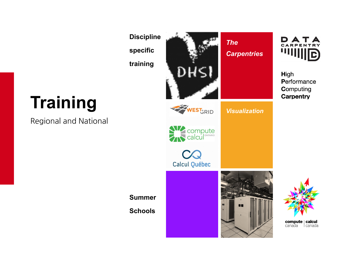**Discipline specific training**



*The Carpentries*



**High** Performance **Computing Carpentry** 

# **Training**

Regional and National







*Visualization*

**Summer** 

**Schools**



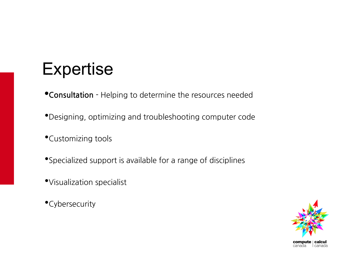#### **Expertise**

- **•Consultation** Helping to determine the resources needed
- •Designing, optimizing and troubleshooting computer code
- *•Customizing tools*
- *\*Specialized support is available for a range of disciplines*
- · Visualization specialist
- •Cybersecurity

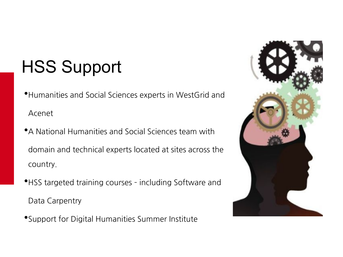# HSS Support

•Humanities and Social Sciences experts in WestGrid and Acenet

- •A National Humanities and Social Sciences team with domain and technical experts located at sites across the country.
- •HSS targeted training courses including Software and Data Carpentry
- Support for Digital Humanities Summer Institute

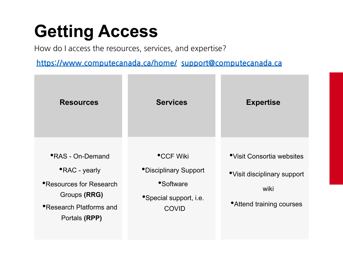### **Getting Access**

How do I access the resources, services, and expertise?

**<https://www.computecanada.ca/home/>[support@computecanada.ca](mailto:support@computecanada.ca)**

| <b>Resources</b>                                                                                                                                       | <b>Services</b>                                                                                          | <b>Expertise</b>                                                                               |
|--------------------------------------------------------------------------------------------------------------------------------------------------------|----------------------------------------------------------------------------------------------------------|------------------------------------------------------------------------------------------------|
| <b>•RAS</b> - On-Demand<br><b>•RAC</b> - yearly<br><b>• Resources for Research</b><br>Groups (RRG)<br><b>• Research Platforms and</b><br>Portals (RPP) | <b>•CCF Wiki</b><br><i>•Disciplinary Support</i><br>•Software<br>• Special support, i.e.<br><b>COVID</b> | •Visit Consortia websites<br>• Visit disciplinary support<br>wiki<br>• Attend training courses |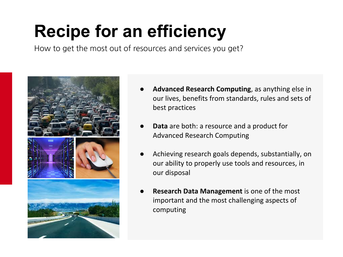# **Recipe for an efficiency**

How to get the most out of resources and services you get?



- Advanced Research Computing, as anything else in our lives, benefits from standards, rules and sets of best practices
- **Data** are both: a resource and a product for Advanced Research Computing
- Achieving research goals depends, substantially, on our ability to properly use tools and resources, in our disposal
- **Research Data Management** is one of the most important and the most challenging aspects of computing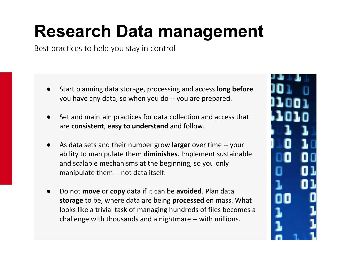## **Research Data management**

Best practices to help you stay in control

- Start planning data storage, processing and access **long before** you have any data, so when you do -- you are prepared.
- Set and maintain practices for data collection and access that are **consistent**, **easy to understand** and follow.
- As data sets and their number grow **larger** over time -- your ability to manipulate them **diminishes**. Implement sustainable and scalable mechanisms at the beginning, so you only manipulate them -- not data itself.
- Do not **move** or **copy** data if it can be **avoided**. Plan data **storage** to be, where data are being **processed** en mass. What looks like a trivial task of managing hundreds of files becomes a challenge with thousands and a nightmare -- with millions.